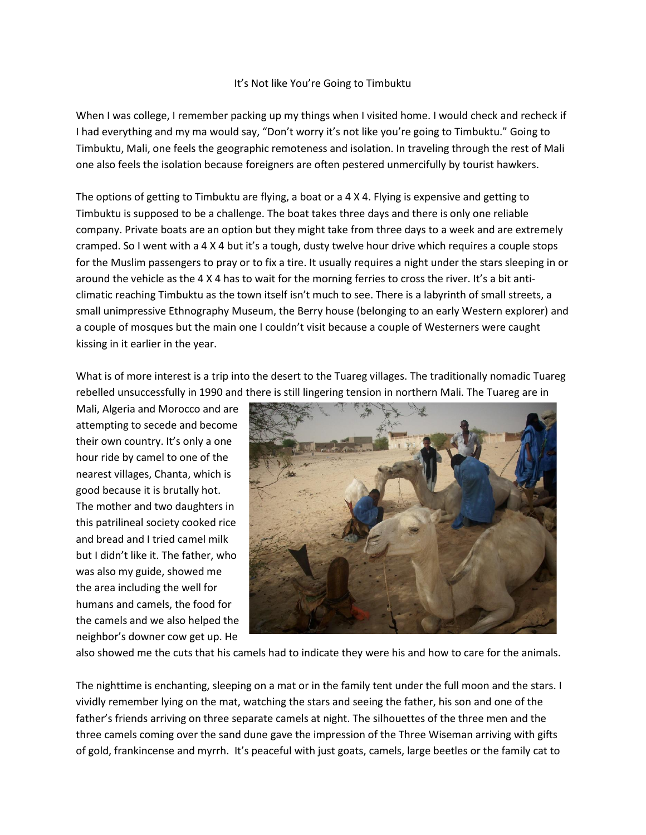## It's Not like You're Going to Timbuktu

When I was college, I remember packing up my things when I visited home. I would check and recheck if I had everything and my ma would say, "Don't worry it's not like you're going to Timbuktu." Going to Timbuktu, Mali, one feels the geographic remoteness and isolation. In traveling through the rest of Mali one also feels the isolation because foreigners are often pestered unmercifully by tourist hawkers.

The options of getting to Timbuktu are flying, a boat or a 4 X 4. Flying is expensive and getting to Timbuktu is supposed to be a challenge. The boat takes three days and there is only one reliable company. Private boats are an option but they might take from three days to a week and are extremely cramped. So I went with a 4 X 4 but it's a tough, dusty twelve hour drive which requires a couple stops for the Muslim passengers to pray or to fix a tire. It usually requires a night under the stars sleeping in or around the vehicle as the 4 X 4 has to wait for the morning ferries to cross the river. It's a bit anticlimatic reaching Timbuktu as the town itself isn't much to see. There is a labyrinth of small streets, a small unimpressive Ethnography Museum, the Berry house (belonging to an early Western explorer) and a couple of mosques but the main one I couldn't visit because a couple of Westerners were caught kissing in it earlier in the year.

What is of more interest is a trip into the desert to the Tuareg villages. The traditionally nomadic Tuareg rebelled unsuccessfully in 1990 and there is still lingering tension in northern Mali. The Tuareg are in

Mali, Algeria and Morocco and are attempting to secede and become their own country. It's only a one hour ride by camel to one of the nearest villages, Chanta, which is good because it is brutally hot. The mother and two daughters in this patrilineal society cooked rice and bread and I tried camel milk but I didn't like it. The father, who was also my guide, showed me the area including the well for humans and camels, the food for the camels and we also helped the neighbor's downer cow get up. He



also showed me the cuts that his camels had to indicate they were his and how to care for the animals.

The nighttime is enchanting, sleeping on a mat or in the family tent under the full moon and the stars. I vividly remember lying on the mat, watching the stars and seeing the father, his son and one of the father's friends arriving on three separate camels at night. The silhouettes of the three men and the three camels coming over the sand dune gave the impression of the Three Wiseman arriving with gifts of gold, frankincense and myrrh. It's peaceful with just goats, camels, large beetles or the family cat to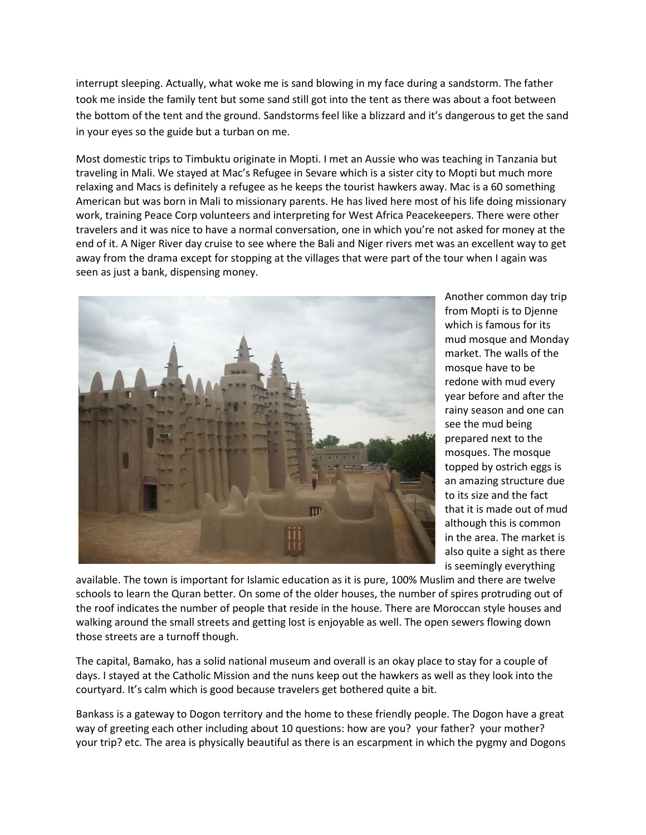interrupt sleeping. Actually, what woke me is sand blowing in my face during a sandstorm. The father took me inside the family tent but some sand still got into the tent as there was about a foot between the bottom of the tent and the ground. Sandstorms feel like a blizzard and it's dangerous to get the sand in your eyes so the guide but a turban on me.

Most domestic trips to Timbuktu originate in Mopti. I met an Aussie who was teaching in Tanzania but traveling in Mali. We stayed at Mac's Refugee in Sevare which is a sister city to Mopti but much more relaxing and Macs is definitely a refugee as he keeps the tourist hawkers away. Mac is a 60 something American but was born in Mali to missionary parents. He has lived here most of his life doing missionary work, training Peace Corp volunteers and interpreting for West Africa Peacekeepers. There were other travelers and it was nice to have a normal conversation, one in which you're not asked for money at the end of it. A Niger River day cruise to see where the Bali and Niger rivers met was an excellent way to get away from the drama except for stopping at the villages that were part of the tour when I again was seen as just a bank, dispensing money.



Another common day trip from Mopti is to Djenne which is famous for its mud mosque and Monday market. The walls of the mosque have to be redone with mud every year before and after the rainy season and one can see the mud being prepared next to the mosques. The mosque topped by ostrich eggs is an amazing structure due to its size and the fact that it is made out of mud although this is common in the area. The market is also quite a sight as there is seemingly everything

available. The town is important for Islamic education as it is pure, 100% Muslim and there are twelve schools to learn the Quran better. On some of the older houses, the number of spires protruding out of the roof indicates the number of people that reside in the house. There are Moroccan style houses and walking around the small streets and getting lost is enjoyable as well. The open sewers flowing down those streets are a turnoff though.

The capital, Bamako, has a solid national museum and overall is an okay place to stay for a couple of days. I stayed at the Catholic Mission and the nuns keep out the hawkers as well as they look into the courtyard. It's calm which is good because travelers get bothered quite a bit.

Bankass is a gateway to Dogon territory and the home to these friendly people. The Dogon have a great way of greeting each other including about 10 questions: how are you? your father? your mother? your trip? etc. The area is physically beautiful as there is an escarpment in which the pygmy and Dogons